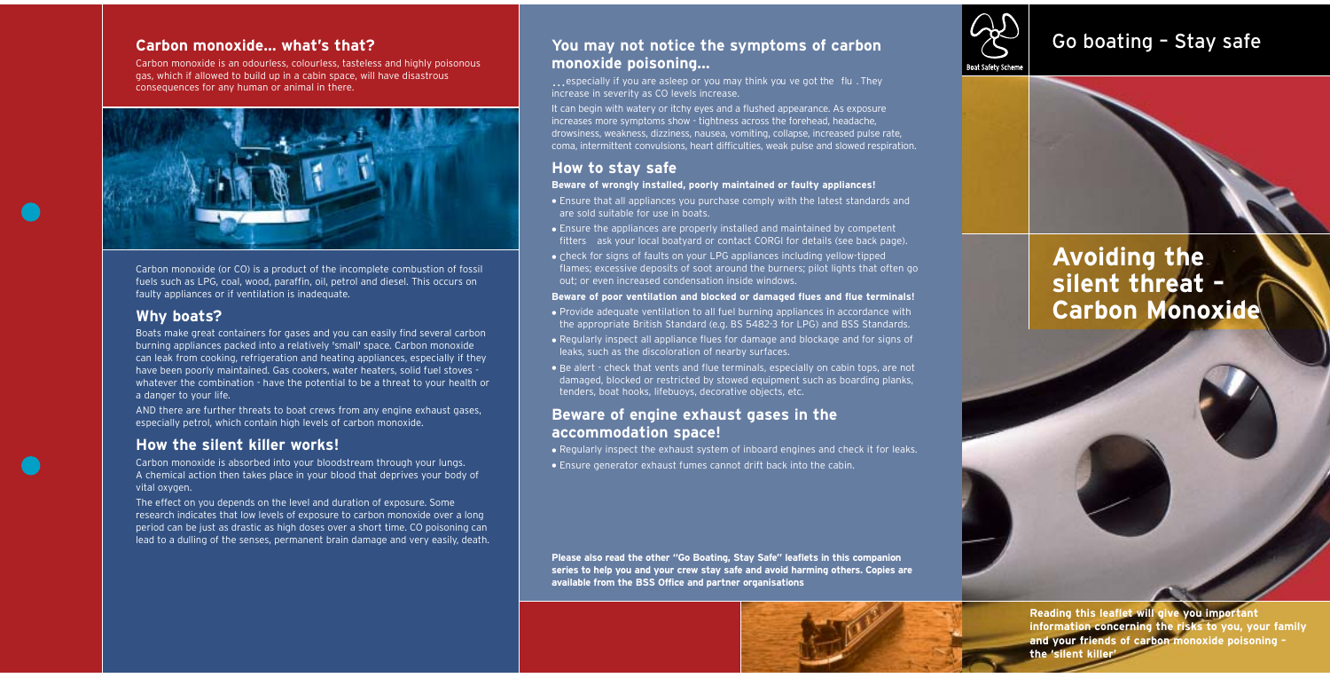### **Carbon monoxide… what's that?**

Carbon monoxide is an odourless, colourless, tasteless and highly poisonous gas, which if allowed to build up in a cabin space, will have disastrous consequences for any human or animal in there.



Carbon monoxide (or CO) is a product of the incomplete combustion of fossil fuels such as LPG, coal, wood, paraffin, oil, petrol and diesel. This occurs on faulty appliances or if ventilation is inadequate.

### **Why boats?**

Boats make great containers for gases and you can easily find several carbon burning appliances packed into a relatively 'small' space. Carbon monoxide can leak from cooking, refrigeration and heating appliances, especially if they have been poorly maintained. Gas cookers, water heaters, solid fuel stoves whatever the combination - have the potential to be a threat to your health or a danger to your life.

# You may not notice the symptoms of carbon **Go Conting - Stay safe monoxide poisoning…**

AND there are further threats to boat crews from any engine exhaust gases, especially petrol, which contain high levels of carbon monoxide.

### **How the silent killer works!**

Carbon monoxide is absorbed into your bloodstream through your lungs. A chemical action then takes place in your blood that deprives your body of vital oxygen.

The effect on you depends on the level and duration of exposure. Some research indicates that low levels of exposure to carbon monoxide over a long period can be just as drastic as high doses over a short time. CO poisoning can lead to a dulling of the senses, permanent brain damage and very easily, death.

# **Avoiding the silent threat – Carbon Monoxide**

… especially if you are asleep or you may think you ve got the flu . They increase in severity as CO levels increase.

It can begin with watery or itchy eyes and a flushed appearance. As exposure increases more symptoms show - tightness across the forehead, headache, drowsiness, weakness, dizziness, nausea, vomiting, collapse, increased pulse rate, coma, intermittent convulsions, heart difficulties, weak pulse and slowed respiration.

### **How to stay safe**

### **Beware of wrongly installed, poorly maintained or faulty appliances!**

- Ensure that all appliances you purchase comply with the latest standards and are sold suitable for use in boats.
- Ensure the appliances are properly installed and maintained by competent fitters ask your local boatyard or contact CORGI for details (see back page).
- Check for signs of faults on your LPG appliances including yellow-tipped flames; excessive deposits of soot around the burners; pilot lights that often go out; or even increased condensation inside windows.

### **Beware of poor ventilation and blocked or damaged flues and flue terminals!**

- Provide adequate ventilation to all fuel burning appliances in accordance with the appropriate British Standard (e.g. BS 5482-3 for LPG) and BSS Standards.
- Regularly inspect all appliance flues for damage and blockage and for signs of leaks, such as the discoloration of nearby surfaces.
- Be alert check that vents and flue terminals, especially on cabin tops, are not damaged, blocked or restricted by stowed equipment such as boarding planks, tenders, boat hooks, lifebuoys, decorative objects, etc.

### **Beware of engine exhaust gases in the accommodation space!**

• Regularly inspect the exhaust system of inboard engines and check it for leaks. • Ensure generator exhaust fumes cannot drift back into the cabin.

**Please also read the other "Go Boating, Stay Safe" leaflets in this companion series to help you and your crew stay safe and avoid harming others. Copies are available from the BSS Office and partner organisations**







**Reading this leaflet will give you important information concerning the risks to you, your family and your friends of carbon monoxide poisoning – the 'silent killer'**